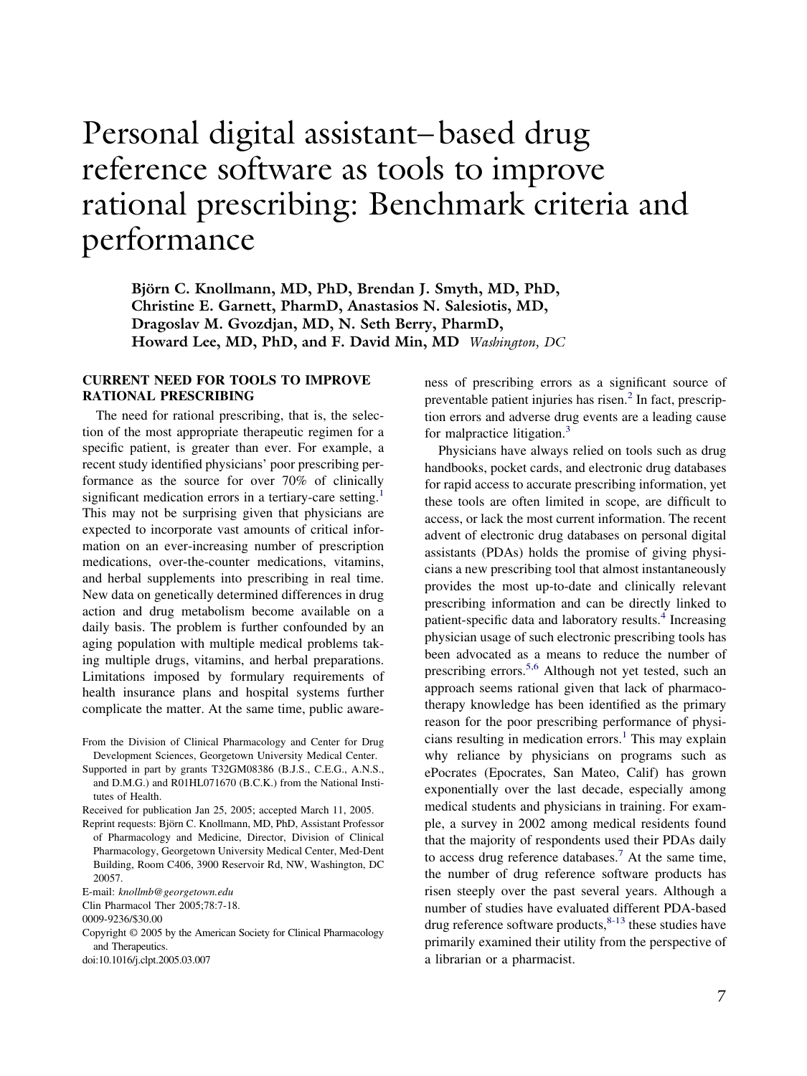# Personal digital assistant– based drug reference software as tools to improve rational prescribing: Benchmark criteria and performance

**Björn C. Knollmann, MD, PhD, Brendan J. Smyth, MD, PhD, Christine E. Garnett, PharmD, Anastasios N. Salesiotis, MD, Dragoslav M. Gvozdjan, MD, N. Seth Berry, PharmD, Howard Lee, MD, PhD, and F. David Min, MD** *Washington, DC*

## **CURRENT NEED FOR TOOLS TO IMPROVE RATIONAL PRESCRIBING**

The need for rational prescribing, that is, the selection of the most appropriate therapeutic regimen for a specific patient, is greater than ever. For example, a recent study identified physicians' poor prescribing performance as the source for over 70% of clinically significant medication errors in a tertiary-care setting.<sup>1</sup> This may not be surprising given that physicians are expected to incorporate vast amounts of critical information on an ever-increasing number of prescription medications, over-the-counter medications, vitamins, and herbal supplements into prescribing in real time. New data on genetically determined differences in drug action and drug metabolism become available on a daily basis. The problem is further confounded by an aging population with multiple medical problems taking multiple drugs, vitamins, and herbal preparations. Limitations imposed by formulary requirements of health insurance plans and hospital systems further complicate the matter. At the same time, public aware-

E-mail: *knollmb@georgetown.edu*

- 0009-9236/\$30.00
- Copyright © 2005 by the American Society for Clinical Pharmacology and Therapeutics.

doi:10.1016/j.clpt.2005.03.007

ness of prescribing errors as a significant source of preventable patient injuries has risen. $<sup>2</sup>$  In fact, prescrip-</sup> tion errors and adverse drug events are a leading cause for malpractice litigation.<sup>3</sup>

Physicians have always relied on tools such as drug handbooks, pocket cards, and electronic drug databases for rapid access to accurate prescribing information, yet these tools are often limited in scope, are difficult to access, or lack the most current information. The recent advent of electronic drug databases on personal digital assistants (PDAs) holds the promise of giving physicians a new prescribing tool that almost instantaneously provides the most up-to-date and clinically relevant prescribing information and can be directly linked to patient-specific data and laboratory results.<sup>4</sup> Increasing physician usage of such electronic prescribing tools has been advocated as a means to reduce the number of prescribing errors[.5,6](#page-11-0) Although not yet tested, such an approach seems rational given that lack of pharmacotherapy knowledge has been identified as the primary reason for the poor prescribing performance of physicians resulting in medication errors.<sup>1</sup> This may explain why reliance by physicians on programs such as ePocrates (Epocrates, San Mateo, Calif) has grown exponentially over the last decade, especially among medical students and physicians in training. For example, a survey in 2002 among medical residents found that the majority of respondents used their PDAs daily to access drug reference databases[.7](#page-11-0) At the same time, the number of drug reference software products has risen steeply over the past several years. Although a number of studies have evaluated different PDA-based drug reference software products, $8-13$  these studies have primarily examined their utility from the perspective of a librarian or a pharmacist.

From the Division of Clinical Pharmacology and Center for Drug Development Sciences, Georgetown University Medical Center.

Supported in part by grants T32GM08386 (B.J.S., C.E.G., A.N.S., and D.M.G.) and R01HL071670 (B.C.K.) from the National Institutes of Health.

Received for publication Jan 25, 2005; accepted March 11, 2005.

Reprint requests: Björn C. Knollmann, MD, PhD, Assistant Professor of Pharmacology and Medicine, Director, Division of Clinical Pharmacology, Georgetown University Medical Center, Med-Dent Building, Room C406, 3900 Reservoir Rd, NW, Washington, DC 20057.

Clin Pharmacol Ther 2005;78:7-18.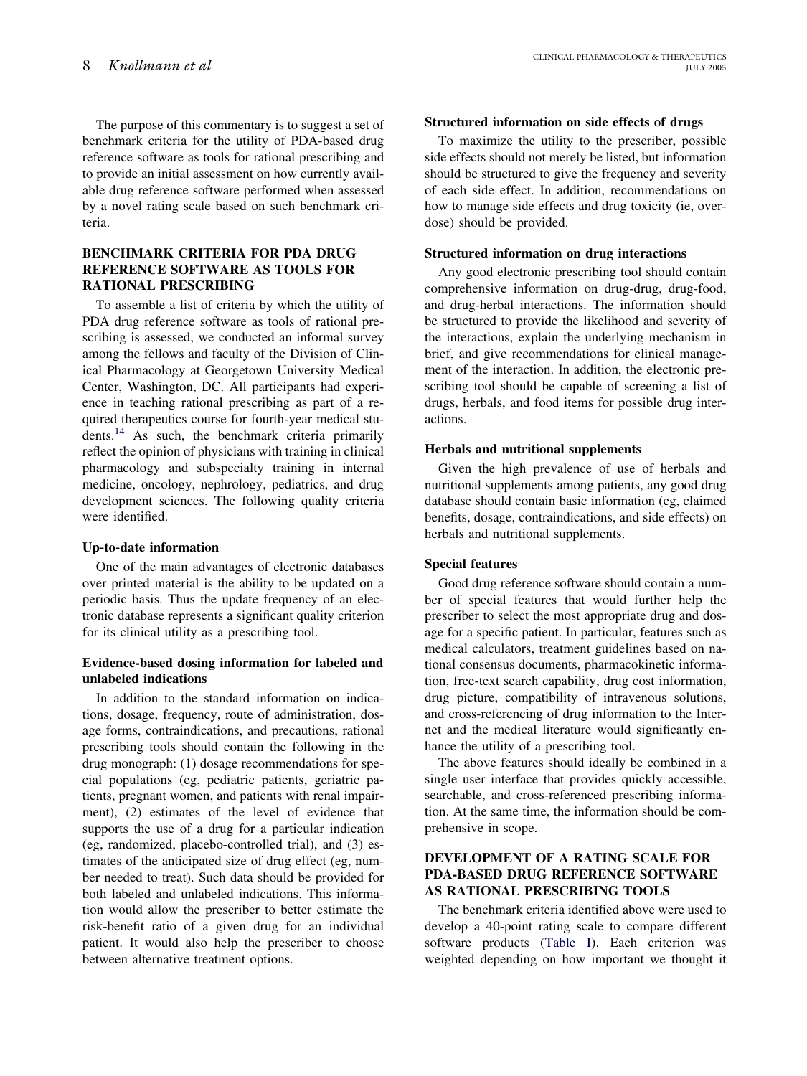The purpose of this commentary is to suggest a set of benchmark criteria for the utility of PDA-based drug reference software as tools for rational prescribing and to provide an initial assessment on how currently available drug reference software performed when assessed by a novel rating scale based on such benchmark criteria.

# **BENCHMARK CRITERIA FOR PDA DRUG REFERENCE SOFTWARE AS TOOLS FOR RATIONAL PRESCRIBING**

To assemble a list of criteria by which the utility of PDA drug reference software as tools of rational prescribing is assessed, we conducted an informal survey among the fellows and faculty of the Division of Clinical Pharmacology at Georgetown University Medical Center, Washington, DC. All participants had experience in teaching rational prescribing as part of a required therapeutics course for fourth-year medical students[.14](#page-11-0) As such, the benchmark criteria primarily reflect the opinion of physicians with training in clinical pharmacology and subspecialty training in internal medicine, oncology, nephrology, pediatrics, and drug development sciences. The following quality criteria were identified.

## **Up-to-date information**

One of the main advantages of electronic databases over printed material is the ability to be updated on a periodic basis. Thus the update frequency of an electronic database represents a significant quality criterion for its clinical utility as a prescribing tool.

# **Evidence-based dosing information for labeled and unlabeled indications**

In addition to the standard information on indications, dosage, frequency, route of administration, dosage forms, contraindications, and precautions, rational prescribing tools should contain the following in the drug monograph: (1) dosage recommendations for special populations (eg, pediatric patients, geriatric patients, pregnant women, and patients with renal impairment), (2) estimates of the level of evidence that supports the use of a drug for a particular indication (eg, randomized, placebo-controlled trial), and (3) estimates of the anticipated size of drug effect (eg, number needed to treat). Such data should be provided for both labeled and unlabeled indications. This information would allow the prescriber to better estimate the risk-benefit ratio of a given drug for an individual patient. It would also help the prescriber to choose between alternative treatment options.

## **Structured information on side effects of drugs**

To maximize the utility to the prescriber, possible side effects should not merely be listed, but information should be structured to give the frequency and severity of each side effect. In addition, recommendations on how to manage side effects and drug toxicity (ie, overdose) should be provided.

## **Structured information on drug interactions**

Any good electronic prescribing tool should contain comprehensive information on drug-drug, drug-food, and drug-herbal interactions. The information should be structured to provide the likelihood and severity of the interactions, explain the underlying mechanism in brief, and give recommendations for clinical management of the interaction. In addition, the electronic prescribing tool should be capable of screening a list of drugs, herbals, and food items for possible drug interactions.

# **Herbals and nutritional supplements**

Given the high prevalence of use of herbals and nutritional supplements among patients, any good drug database should contain basic information (eg, claimed benefits, dosage, contraindications, and side effects) on herbals and nutritional supplements.

# **Special features**

Good drug reference software should contain a number of special features that would further help the prescriber to select the most appropriate drug and dosage for a specific patient. In particular, features such as medical calculators, treatment guidelines based on national consensus documents, pharmacokinetic information, free-text search capability, drug cost information, drug picture, compatibility of intravenous solutions, and cross-referencing of drug information to the Internet and the medical literature would significantly enhance the utility of a prescribing tool.

The above features should ideally be combined in a single user interface that provides quickly accessible, searchable, and cross-referenced prescribing information. At the same time, the information should be comprehensive in scope.

# **DEVELOPMENT OF A RATING SCALE FOR PDA-BASED DRUG REFERENCE SOFTWARE AS RATIONAL PRESCRIBING TOOLS**

The benchmark criteria identified above were used to develop a 40-point rating scale to compare different software products [\(Table I\)](#page-3-0). Each criterion was weighted depending on how important we thought it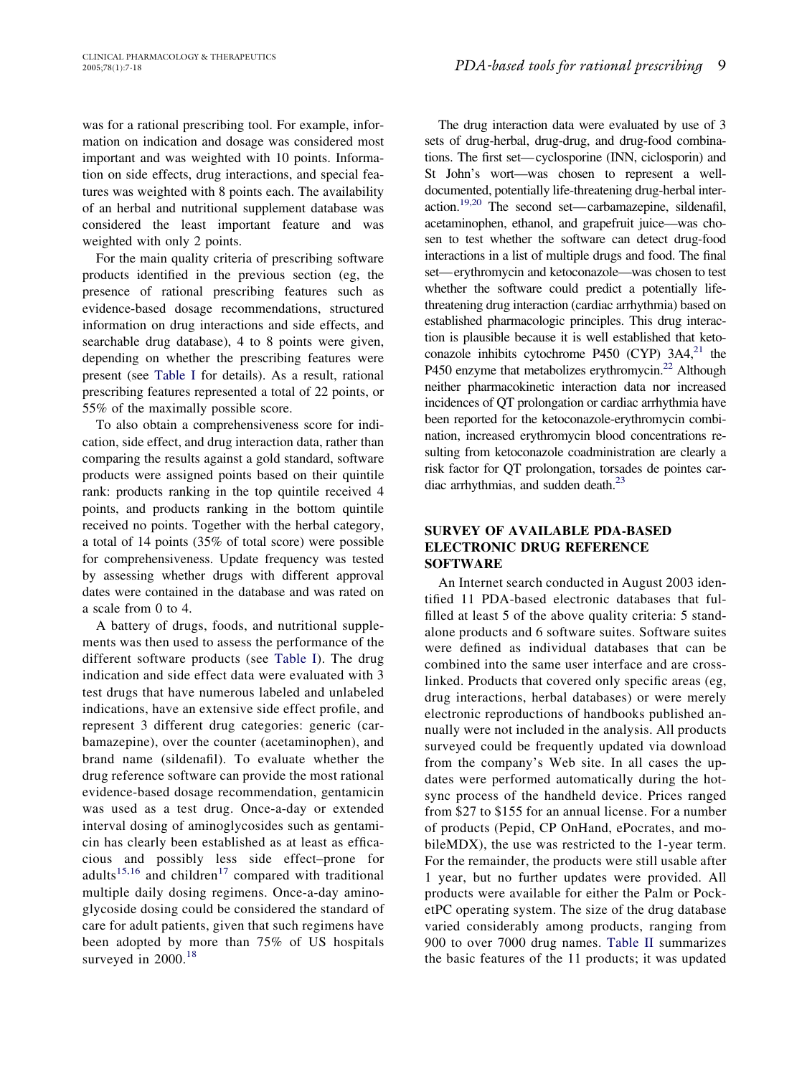was for a rational prescribing tool. For example, information on indication and dosage was considered most important and was weighted with 10 points. Information on side effects, drug interactions, and special features was weighted with 8 points each. The availability of an herbal and nutritional supplement database was considered the least important feature and was weighted with only 2 points.

For the main quality criteria of prescribing software products identified in the previous section (eg, the presence of rational prescribing features such as evidence-based dosage recommendations, structured information on drug interactions and side effects, and searchable drug database), 4 to 8 points were given, depending on whether the prescribing features were present (see [Table I](#page-3-0) for details). As a result, rational prescribing features represented a total of 22 points, or 55% of the maximally possible score.

To also obtain a comprehensiveness score for indication, side effect, and drug interaction data, rather than comparing the results against a gold standard, software products were assigned points based on their quintile rank: products ranking in the top quintile received 4 points, and products ranking in the bottom quintile received no points. Together with the herbal category, a total of 14 points (35% of total score) were possible for comprehensiveness. Update frequency was tested by assessing whether drugs with different approval dates were contained in the database and was rated on a scale from 0 to 4.

A battery of drugs, foods, and nutritional supplements was then used to assess the performance of the different software products (see [Table I\)](#page-3-0). The drug indication and side effect data were evaluated with 3 test drugs that have numerous labeled and unlabeled indications, have an extensive side effect profile, and represent 3 different drug categories: generic (carbamazepine), over the counter (acetaminophen), and brand name (sildenafil). To evaluate whether the drug reference software can provide the most rational evidence-based dosage recommendation, gentamicin was used as a test drug. Once-a-day or extended interval dosing of aminoglycosides such as gentamicin has clearly been established as at least as efficacious and possibly less side effect–prone for adults<sup>[15,16](#page-11-0)</sup> and children<sup>[17](#page-11-0)</sup> compared with traditional multiple daily dosing regimens. Once-a-day aminoglycoside dosing could be considered the standard of care for adult patients, given that such regimens have been adopted by more than 75% of US hospitals surveyed in 2000.<sup>[18](#page-11-0)</sup>

The drug interaction data were evaluated by use of 3 sets of drug-herbal, drug-drug, and drug-food combinations. The first set—cyclosporine (INN, ciclosporin) and St John's wort—was chosen to represent a welldocumented, potentially life-threatening drug-herbal interaction[.19,20](#page-11-0) The second set—carbamazepine, sildenafil, acetaminophen, ethanol, and grapefruit juice—was chosen to test whether the software can detect drug-food interactions in a list of multiple drugs and food. The final set—erythromycin and ketoconazole—was chosen to test whether the software could predict a potentially lifethreatening drug interaction (cardiac arrhythmia) based on established pharmacologic principles. This drug interaction is plausible because it is well established that ketoconazole inhibits cytochrome P450 (CYP)  $3A4$ ,<sup>21</sup> the P450 enzyme that metabolizes erythromycin.<sup>22</sup> Although neither pharmacokinetic interaction data nor increased incidences of QT prolongation or cardiac arrhythmia have been reported for the ketoconazole-erythromycin combination, increased erythromycin blood concentrations resulting from ketoconazole coadministration are clearly a risk factor for QT prolongation, torsades de pointes cardiac arrhythmias, and sudden death.<sup>23</sup>

# **SURVEY OF AVAILABLE PDA-BASED ELECTRONIC DRUG REFERENCE SOFTWARE**

An Internet search conducted in August 2003 identified 11 PDA-based electronic databases that fulfilled at least 5 of the above quality criteria: 5 standalone products and 6 software suites. Software suites were defined as individual databases that can be combined into the same user interface and are crosslinked. Products that covered only specific areas (eg, drug interactions, herbal databases) or were merely electronic reproductions of handbooks published annually were not included in the analysis. All products surveyed could be frequently updated via download from the company's Web site. In all cases the updates were performed automatically during the hotsync process of the handheld device. Prices ranged from \$27 to \$155 for an annual license. For a number of products (Pepid, CP OnHand, ePocrates, and mobileMDX), the use was restricted to the 1-year term. For the remainder, the products were still usable after 1 year, but no further updates were provided. All products were available for either the Palm or PocketPC operating system. The size of the drug database varied considerably among products, ranging from 900 to over 7000 drug names. [Table II](#page-7-0) summarizes the basic features of the 11 products; it was updated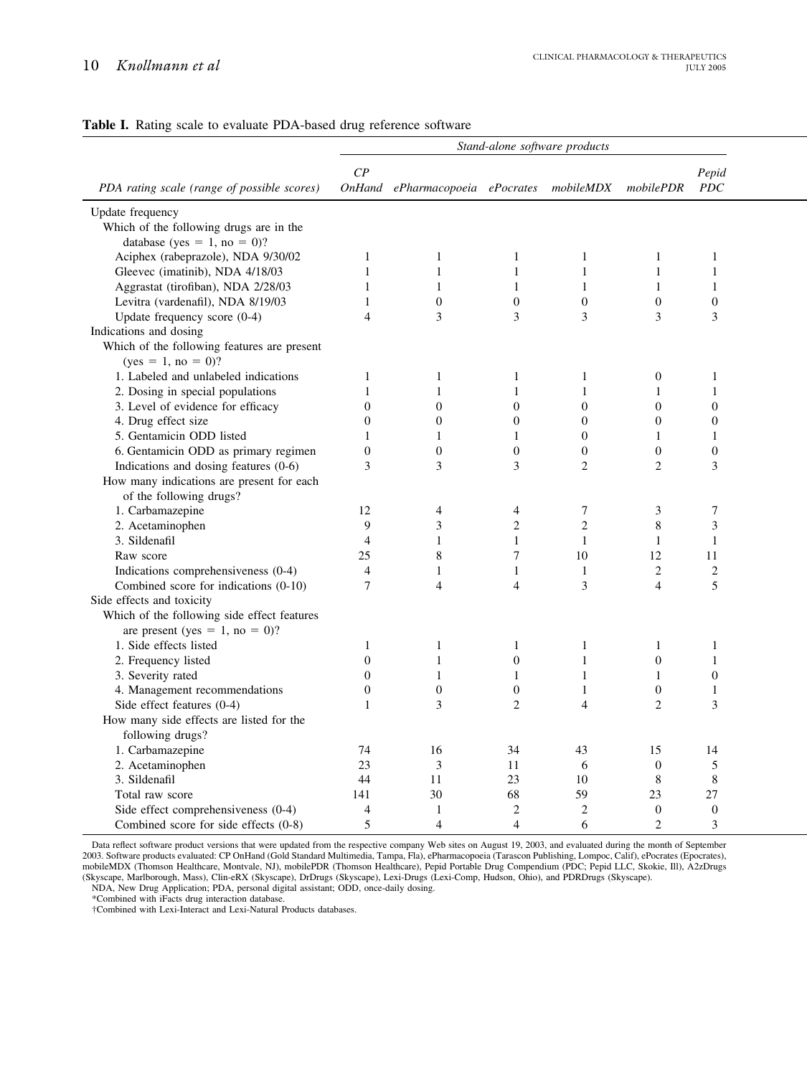## <span id="page-3-0"></span>**Table I.** Rating scale to evaluate PDA-based drug reference software

|                                             | Stand-alone software products |                                           |                |                  |                  |                  |  |
|---------------------------------------------|-------------------------------|-------------------------------------------|----------------|------------------|------------------|------------------|--|
|                                             | CP                            |                                           |                |                  |                  | Pepid            |  |
| PDA rating scale (range of possible scores) |                               | OnHand ePharmacopoeia ePocrates mobileMDX |                |                  | mobilePDR        | PDC              |  |
| Update frequency                            |                               |                                           |                |                  |                  |                  |  |
| Which of the following drugs are in the     |                               |                                           |                |                  |                  |                  |  |
| database (yes = 1, no = 0)?                 |                               |                                           |                |                  |                  |                  |  |
| Aciphex (rabeprazole), NDA 9/30/02          | 1                             | $\mathbf{1}$                              | $\mathbf{1}$   | $\mathbf{1}$     | $\mathbf{1}$     | $\mathbf{1}$     |  |
| Gleevec (imatinib), NDA 4/18/03             | 1                             | 1                                         | $\mathbf{1}$   | $\mathbf{1}$     | $\mathbf{1}$     | $\mathbf{1}$     |  |
| Aggrastat (tirofiban), NDA 2/28/03          | $\mathbf{1}$                  | $\mathbf{1}$                              | $\mathbf{1}$   | $\mathbf{1}$     | $\mathbf{1}$     | $\mathbf{1}$     |  |
| Levitra (vardenafil), NDA 8/19/03           | $\mathbf{1}$                  | $\overline{0}$                            | $\theta$       | $\theta$         | $\theta$         | $\boldsymbol{0}$ |  |
| Update frequency score (0-4)                | $\overline{4}$                | 3                                         | 3              | 3                | 3                | 3                |  |
| Indications and dosing                      |                               |                                           |                |                  |                  |                  |  |
| Which of the following features are present |                               |                                           |                |                  |                  |                  |  |
| $(yes = 1, no = 0)?$                        |                               |                                           |                |                  |                  |                  |  |
| 1. Labeled and unlabeled indications        | $\mathbf{1}$                  | $\mathbf{1}$                              | 1              | 1                | $\mathbf{0}$     | $\mathbf{1}$     |  |
| 2. Dosing in special populations            | 1                             | $\mathbf{1}$                              | $\mathbf{1}$   | 1                | 1                | $\mathbf{1}$     |  |
| 3. Level of evidence for efficacy           | $\overline{0}$                | $\overline{0}$                            | $\theta$       | $\theta$         | $\mathbf{0}$     | $\theta$         |  |
| 4. Drug effect size                         | $\overline{0}$                | $\overline{0}$                            | $\theta$       | $\overline{0}$   | $\overline{0}$   | $\boldsymbol{0}$ |  |
| 5. Gentamicin ODD listed                    | 1                             | $\mathbf{1}$                              | $\mathbf{1}$   | $\boldsymbol{0}$ | 1                | $\mathbf{1}$     |  |
| 6. Gentamicin ODD as primary regimen        | $\overline{0}$                | $\overline{0}$                            | $\mathbf{0}$   | $\overline{0}$   | $\mathbf{0}$     | $\theta$         |  |
| Indications and dosing features (0-6)       | 3                             | 3                                         | 3              | $\overline{2}$   | $\overline{2}$   | 3                |  |
| How many indications are present for each   |                               |                                           |                |                  |                  |                  |  |
| of the following drugs?                     |                               |                                           |                |                  |                  |                  |  |
| 1. Carbamazepine                            | 12                            | $\overline{4}$                            | 4              | 7                | 3                | 7                |  |
| 2. Acetaminophen                            | 9                             | 3                                         | $\overline{2}$ | $\overline{2}$   | 8                | 3                |  |
| 3. Sildenafil                               | $\overline{4}$                | 1                                         | $\mathbf{1}$   | $\mathbf{1}$     | 1                | $\mathbf{1}$     |  |
| Raw score                                   | 25                            | 8                                         | 7              | 10               | 12               | 11               |  |
| Indications comprehensiveness (0-4)         | $\overline{4}$                | $\mathbf{1}$                              | $\mathbf{1}$   | $\mathbf{1}$     | $\mathbf{2}$     | $\overline{c}$   |  |
| Combined score for indications (0-10)       | $\overline{7}$                | $\overline{4}$                            | $\overline{4}$ | 3                | $\overline{4}$   | 5                |  |
| Side effects and toxicity                   |                               |                                           |                |                  |                  |                  |  |
| Which of the following side effect features |                               |                                           |                |                  |                  |                  |  |
| are present (yes = 1, no = 0)?              |                               |                                           |                |                  |                  |                  |  |
| 1. Side effects listed                      | 1                             | 1                                         | 1              | 1                | 1                | $\mathbf{1}$     |  |
| 2. Frequency listed                         | $\mathbf{0}$                  | $\mathbf{1}$                              | $\overline{0}$ | $\mathbf{1}$     | $\overline{0}$   | $\mathbf{1}$     |  |
| 3. Severity rated                           | $\overline{0}$                | $\mathbf{1}$                              | $\mathbf{1}$   | $\mathbf{1}$     | 1                | $\theta$         |  |
| 4. Management recommendations               | $\overline{0}$                | $\boldsymbol{0}$                          | $\overline{0}$ | $\mathbf{1}$     | $\boldsymbol{0}$ | $\mathbf{1}$     |  |
| Side effect features (0-4)                  | 1                             | 3                                         | $\overline{2}$ | $\overline{4}$   | $\overline{c}$   | 3                |  |
| How many side effects are listed for the    |                               |                                           |                |                  |                  |                  |  |
| following drugs?                            |                               |                                           |                |                  |                  |                  |  |
| 1. Carbamazepine                            | 74                            | 16                                        | 34             | 43               | 15               | 14               |  |
| 2. Acetaminophen                            | 23                            | 3                                         | 11             | 6                | $\theta$         | 5                |  |
| 3. Sildenafil                               | 44                            | 11                                        | 23             | 10               | 8                | 8                |  |
| Total raw score                             | 141                           | 30                                        | 68             | 59               | 23               | 27               |  |
| Side effect comprehensiveness (0-4)         | $\overline{4}$                | $\mathbf{1}$                              | $\overline{2}$ | $\overline{c}$   | $\mathbf{0}$     | $\mathbf{0}$     |  |
| Combined score for side effects (0-8)       | 5                             | 4                                         | $\overline{4}$ | 6                | $\overline{2}$   | 3                |  |

Data reflect software product versions that were updated from the respective company Web sites on August 19, 2003, and evaluated during the month of September 2003. Software products evaluated: CP OnHand (Gold Standard Multimedia, Tampa, Fla), ePharmacopoeia (Tarascon Publishing, Lompoc, Calif), ePocrates (Epocrates), mobileMDX (Thomson Healthcare, Montvale, NJ), mobilePDR (Thomson Healthcare), Pepid Portable Drug Compendium (PDC; Pepid LLC, Skokie, Ill), A2zDrugs (Skyscape, Marlborough, Mass), Clin-eRX (Skyscape), DrDrugs (Skyscape), Lexi-Drugs (Lexi-Comp, Hudson, Ohio), and PDRDrugs (Skyscape).

NDA, New Drug Application; PDA, personal digital assistant; ODD, once-daily dosing.

\*Combined with iFacts drug interaction database.

†Combined with Lexi-Interact and Lexi-Natural Products databases.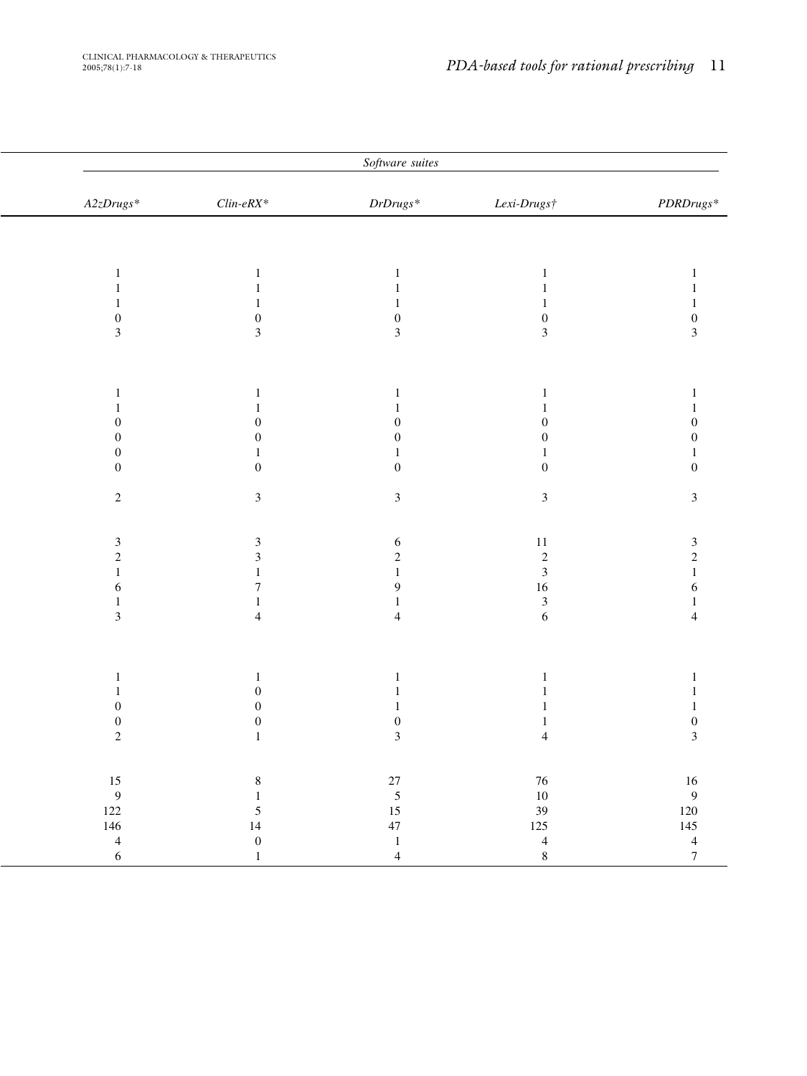$\sim$ 

| Software suites             |                       |                  |                                       |                             |  |  |  |
|-----------------------------|-----------------------|------------------|---------------------------------------|-----------------------------|--|--|--|
| $A2zDrugs*$                 | $Clin\text{-}eRX^{*}$ | $DrDrugs*$       | $Lexi-Drugs\uparrow$                  | $PDRDrugs*$                 |  |  |  |
|                             |                       |                  |                                       |                             |  |  |  |
| $\mathbf{1}$                | $\mathbf{1}$          | $\mathbf{1}$     | $\mathbf{1}$                          | 1                           |  |  |  |
| $\mathbf{1}$                | $\mathbf{1}$          | $\mathbf{1}$     | $\mathbf{1}$                          | 1                           |  |  |  |
| 1                           | $\mathbf{1}$          | 1                | 1                                     | 1                           |  |  |  |
| $\boldsymbol{0}$            | $\boldsymbol{0}$      | $\boldsymbol{0}$ | $\boldsymbol{0}$                      | $\boldsymbol{0}$            |  |  |  |
| $\mathfrak{Z}$              | $\mathfrak{Z}$        | $\mathfrak{Z}$   | $\mathfrak{Z}$                        | $\mathfrak{Z}$              |  |  |  |
|                             |                       |                  |                                       |                             |  |  |  |
| 1                           | $\mathbf{1}$          | $\mathbf{1}$     | 1                                     | 1                           |  |  |  |
|                             | 1                     | 1                |                                       | 1                           |  |  |  |
| $\boldsymbol{0}$            | $\boldsymbol{0}$      | $\mathbf{0}$     | $\boldsymbol{0}$                      | $\mathbf{0}$                |  |  |  |
| $\boldsymbol{0}$            | $\boldsymbol{0}$      | $\boldsymbol{0}$ | $\boldsymbol{0}$                      | $\boldsymbol{0}$            |  |  |  |
| $\boldsymbol{0}$            | $\mathbf{1}$          | $\mathbf{1}$     | $\mathbf{1}$                          | 1                           |  |  |  |
| $\boldsymbol{0}$            | $\boldsymbol{0}$      | $\boldsymbol{0}$ | $\boldsymbol{0}$                      | $\boldsymbol{0}$            |  |  |  |
| $\sqrt{2}$                  | $\mathfrak{Z}$        | $\mathfrak{Z}$   | $\mathfrak{Z}$                        | $\mathfrak{Z}$              |  |  |  |
|                             |                       |                  |                                       |                             |  |  |  |
| $\ensuremath{\mathfrak{Z}}$ | $\mathfrak{Z}$        | 6                | $11\,$                                | $\ensuremath{\mathfrak{Z}}$ |  |  |  |
| $\sqrt{2}$                  | 3                     | $\boldsymbol{2}$ | $\sqrt{2}$                            | $\sqrt{2}$                  |  |  |  |
| $\mathbf{1}$                | 1                     | $\mathbf{1}$     | $\mathfrak{Z}$                        | $\mathbf{1}$                |  |  |  |
| 6                           | 7                     | 9                | $16\,$                                | 6                           |  |  |  |
| $\mathbf{1}$                | $\mathbf{1}$          | 1                | $\ensuremath{\mathfrak{Z}}$           | $\mathbf{1}$                |  |  |  |
| $\mathfrak{Z}$              | $\overline{4}$        | $\overline{4}$   | $\sqrt{6}$                            | $\overline{4}$              |  |  |  |
|                             |                       |                  |                                       |                             |  |  |  |
| 1                           | $\mathbf{1}$          | 1                | 1                                     |                             |  |  |  |
| 1                           | $\boldsymbol{0}$      | 1                | 1                                     |                             |  |  |  |
| $\boldsymbol{0}$            | $\boldsymbol{0}$      | 1                | 1                                     |                             |  |  |  |
| $\boldsymbol{0}$            | $\boldsymbol{0}$      | $\boldsymbol{0}$ | $\mathbf{1}$                          | $\boldsymbol{0}$            |  |  |  |
| $\sqrt{2}$                  | $\,1\,$               | $\mathfrak{Z}$   | $\overline{4}$                        | $\overline{\mathbf{3}}$     |  |  |  |
|                             |                       |                  |                                       |                             |  |  |  |
| 15                          | $\,8\,$               | $27\,$           | $76\,$                                | $16\,$                      |  |  |  |
| $\boldsymbol{9}$            | $\,1\,$               | $\overline{5}$   | $10\,$                                | $\overline{9}$              |  |  |  |
| $122\,$                     | $\sqrt{5}$            | $15\,$           | 39                                    | $120\,$                     |  |  |  |
| 146                         | 14                    | $47\,$           | 125                                   | $145\,$                     |  |  |  |
| $\overline{\mathcal{L}}$    | $\boldsymbol{0}$      | $\,1\,$          |                                       | $\frac{4}{7}$               |  |  |  |
| $\sqrt{6}$                  | $\,1\,$               | $\overline{4}$   | $\begin{array}{c} 4 \\ 8 \end{array}$ |                             |  |  |  |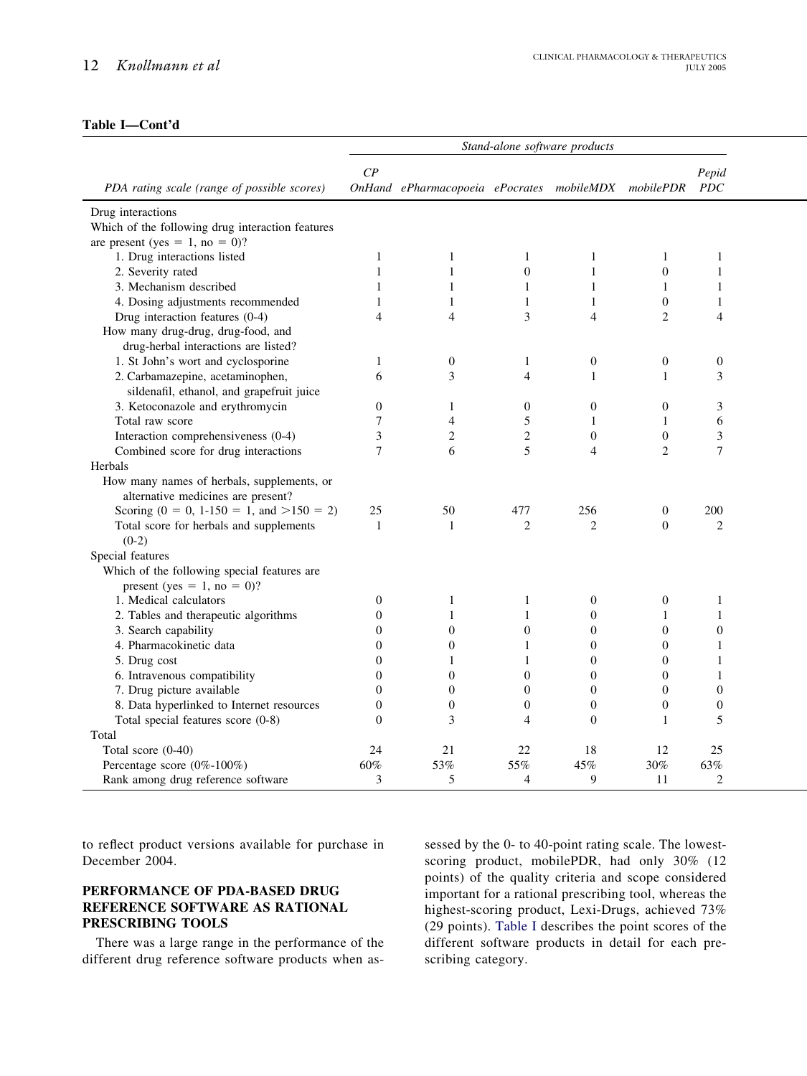| Table I—Cont'd |  |
|----------------|--|
|                |  |

|                                                     | Stand-alone software products |                                                         |                |                  |                  |                  |  |
|-----------------------------------------------------|-------------------------------|---------------------------------------------------------|----------------|------------------|------------------|------------------|--|
|                                                     | $\mathcal{C}P$                |                                                         |                |                  |                  | Pepid            |  |
| PDA rating scale (range of possible scores)         |                               | OnHand ePharmacopoeia ePocrates mobileMDX mobilePDR PDC |                |                  |                  |                  |  |
| Drug interactions                                   |                               |                                                         |                |                  |                  |                  |  |
| Which of the following drug interaction features    |                               |                                                         |                |                  |                  |                  |  |
| are present (yes = 1, no = 0)?                      |                               |                                                         |                |                  |                  |                  |  |
| 1. Drug interactions listed                         | $\mathbf{1}$                  | $\mathbf{1}$                                            | $\mathbf{1}$   | 1                | 1                | $\mathbf{1}$     |  |
| 2. Severity rated                                   | 1                             | 1                                                       | $\overline{0}$ | 1                | $\overline{0}$   | 1                |  |
| 3. Mechanism described                              | 1                             | $\mathbf{1}$                                            | $\mathbf{1}$   | 1                | $\mathbf{1}$     | 1                |  |
| 4. Dosing adjustments recommended                   | 1                             | 1                                                       | $\mathbf{1}$   | 1                | $\theta$         | $\mathbf{1}$     |  |
| Drug interaction features (0-4)                     | $\overline{4}$                | 4                                                       | 3              | 4                | $\overline{2}$   | $\overline{4}$   |  |
| How many drug-drug, drug-food, and                  |                               |                                                         |                |                  |                  |                  |  |
| drug-herbal interactions are listed?                |                               |                                                         |                |                  |                  |                  |  |
| 1. St John's wort and cyclosporine                  | 1                             | $\mathbf{0}$                                            | 1              | $\boldsymbol{0}$ | $\boldsymbol{0}$ | $\boldsymbol{0}$ |  |
| 2. Carbamazepine, acetaminophen,                    | 6                             | 3                                                       | $\overline{4}$ | 1                | $\mathbf{1}$     | 3                |  |
| sildenafil, ethanol, and grapefruit juice           |                               |                                                         |                |                  |                  |                  |  |
| 3. Ketoconazole and erythromycin                    | $\Omega$                      | 1                                                       | $\mathbf{0}$   | $\mathbf{0}$     | $\Omega$         | 3                |  |
| Total raw score                                     | 7                             | $\overline{4}$                                          | 5              | 1                | 1                | 6                |  |
| Interaction comprehensiveness (0-4)                 | 3                             | $\overline{2}$                                          | $\overline{2}$ | $\theta$         | $\Omega$         | 3                |  |
| Combined score for drug interactions                | $\overline{7}$                | 6                                                       | 5              | $\overline{4}$   | $\overline{2}$   | $\overline{7}$   |  |
| Herbals                                             |                               |                                                         |                |                  |                  |                  |  |
| How many names of herbals, supplements, or          |                               |                                                         |                |                  |                  |                  |  |
| alternative medicines are present?                  |                               |                                                         |                |                  |                  |                  |  |
| Scoring $(0 = 0, 1-150 = 1, \text{ and } >150 = 2)$ | 25                            | 50                                                      | 477            | 256              | $\boldsymbol{0}$ | 200              |  |
| Total score for herbals and supplements             | $\mathbf{1}$                  | $\mathbf{1}$                                            | $\overline{2}$ | 2                | $\Omega$         | $\overline{2}$   |  |
| $(0-2)$                                             |                               |                                                         |                |                  |                  |                  |  |
| Special features                                    |                               |                                                         |                |                  |                  |                  |  |
| Which of the following special features are         |                               |                                                         |                |                  |                  |                  |  |
| present (yes = 1, no = 0)?                          |                               |                                                         |                |                  |                  |                  |  |
| 1. Medical calculators                              | $\mathbf{0}$                  | $\mathbf{1}$                                            | $\mathbf{1}$   | $\boldsymbol{0}$ | $\mathbf{0}$     | $\mathbf{1}$     |  |
| 2. Tables and therapeutic algorithms                | $\Omega$                      | 1                                                       | 1              | $\Omega$         | 1                | 1                |  |
| 3. Search capability                                | $\Omega$                      | $\Omega$                                                | $\Omega$       | $\Omega$         | $\Omega$         | $\boldsymbol{0}$ |  |
| 4. Pharmacokinetic data                             | $\mathbf{0}$                  | $\overline{0}$                                          | $\mathbf{1}$   | $\overline{0}$   | $\overline{0}$   | $\mathbf{1}$     |  |
| 5. Drug cost                                        | $\overline{0}$                | 1                                                       | 1              | $\overline{0}$   | $\theta$         | 1                |  |
| 6. Intravenous compatibility                        | $\Omega$                      | $\Omega$                                                | $\Omega$       | $\theta$         | $\theta$         | 1                |  |
| 7. Drug picture available                           | $\overline{0}$                | $\mathbf{0}$                                            | $\mathbf{0}$   | $\mathbf{0}$     | $\overline{0}$   | $\theta$         |  |
| 8. Data hyperlinked to Internet resources           | $\Omega$                      | $\overline{0}$                                          | $\overline{0}$ | $\overline{0}$   | $\overline{0}$   | $\boldsymbol{0}$ |  |
| Total special features score (0-8)                  | $\Omega$                      | 3                                                       | $\overline{4}$ | $\theta$         | 1                | 5                |  |
| Total                                               |                               |                                                         |                |                  |                  |                  |  |
| Total score (0-40)                                  | 24                            | 21                                                      | 22             | 18               | 12               | 25               |  |
| Percentage score (0%-100%)                          | 60%                           | 53%                                                     | 55%            | 45%              | 30%              | 63%              |  |
| Rank among drug reference software                  | 3                             | 5                                                       | 4              | 9                | 11               | $\overline{2}$   |  |
|                                                     |                               |                                                         |                |                  |                  |                  |  |

to reflect product versions available for purchase in December 2004.

# **PERFORMANCE OF PDA-BASED DRUG REFERENCE SOFTWARE AS RATIONAL PRESCRIBING TOOLS**

There was a large range in the performance of the different drug reference software products when assessed by the 0- to 40-point rating scale. The lowestscoring product, mobilePDR, had only 30% (12 points) of the quality criteria and scope considered important for a rational prescribing tool, whereas the highest-scoring product, Lexi-Drugs, achieved 73% (29 points). [Table I](#page-3-0) describes the point scores of the different software products in detail for each prescribing category.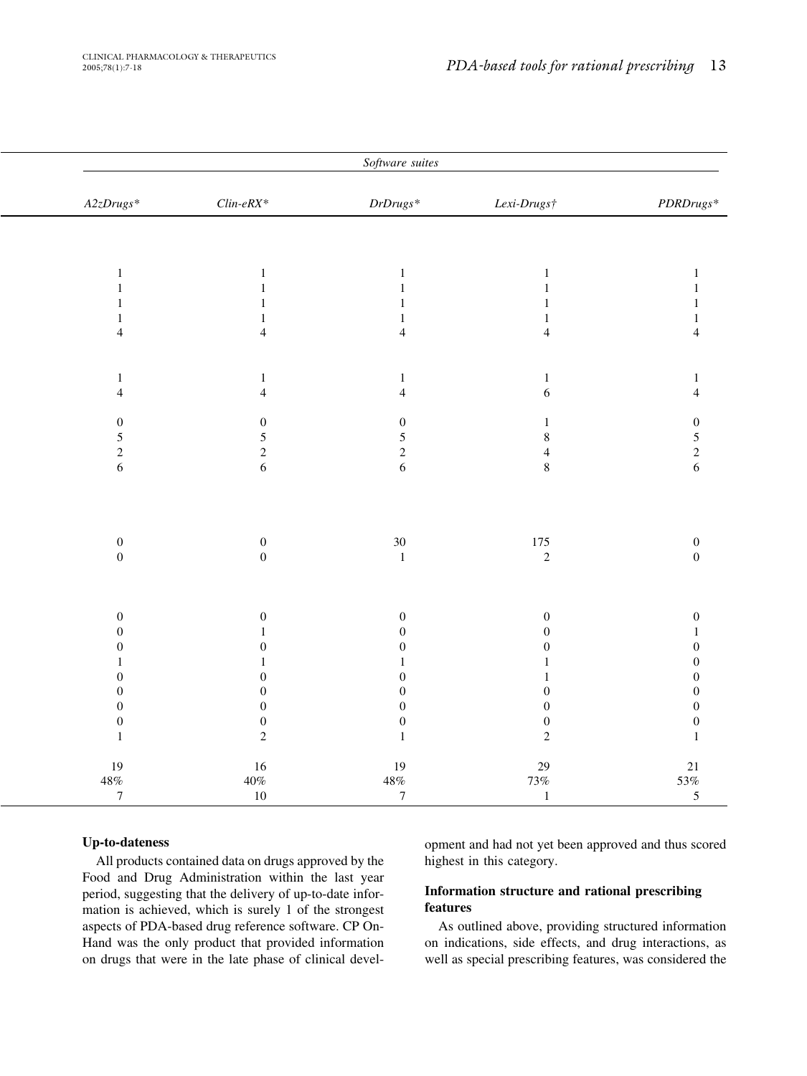| Software suites  |                       |                         |                  |                                       |  |  |
|------------------|-----------------------|-------------------------|------------------|---------------------------------------|--|--|
| $A2zDrugs*$      | $Clin\text{-}eRX^{*}$ | $DrDrugs*$              | Lexi-Drugs†      | $PDRDrugs*$                           |  |  |
|                  |                       |                         |                  |                                       |  |  |
|                  |                       |                         |                  |                                       |  |  |
| $\mathbf 1$      | $\,1\,$               | $\,1\,$                 | $\,1\,$          | $\mathbf{1}$                          |  |  |
| $\mathbf{1}$     | $\mathbf{1}$          | $\mathbf{1}$            | $\mathbf{1}$     | 1                                     |  |  |
| $\mathbf{1}$     | $\mathbf{1}$          | $\mathbf{1}$            | 1                | 1                                     |  |  |
| $\mathbf{1}$     | $\mathbf 1$           | $\,1\,$                 | $\mathbf{1}$     | 1                                     |  |  |
| $\overline{4}$   | $\overline{4}$        | $\overline{4}$          | $\overline{4}$   | $\overline{4}$                        |  |  |
|                  |                       |                         |                  |                                       |  |  |
| $\mathbf{1}$     | $\mathbf{1}$          | $\mathbf{1}$            | $\mathbf{1}$     | $\mathbf{1}$                          |  |  |
| $\overline{4}$   | $\overline{4}$        | $\overline{4}$          | $\sqrt{6}$       | $\overline{4}$                        |  |  |
| $\boldsymbol{0}$ | $\boldsymbol{0}$      | $\boldsymbol{0}$        | $\mathbf{1}$     | $\boldsymbol{0}$                      |  |  |
| $\mathfrak s$    | $\sqrt{5}$            | $\sqrt{5}$              | $\,$ 8 $\,$      | $\sqrt{5}$                            |  |  |
| $\sqrt{2}$       | $\sqrt{2}$            | $\overline{\mathbf{c}}$ | $\overline{4}$   |                                       |  |  |
| $\sqrt{6}$       | $\overline{6}$        | $\sqrt{6}$              | $\,8\,$          | $\begin{array}{c} 2 \\ 6 \end{array}$ |  |  |
|                  |                       |                         |                  |                                       |  |  |
|                  |                       |                         |                  |                                       |  |  |
| $\boldsymbol{0}$ | $\boldsymbol{0}$      | $30\,$                  | 175              | $\boldsymbol{0}$                      |  |  |
| $\boldsymbol{0}$ | $\boldsymbol{0}$      | $\,1\,$                 | $\sqrt{2}$       | $\boldsymbol{0}$                      |  |  |
|                  |                       |                         |                  |                                       |  |  |
| $\boldsymbol{0}$ | $\boldsymbol{0}$      | $\boldsymbol{0}$        | $\boldsymbol{0}$ | $\boldsymbol{0}$                      |  |  |
| $\boldsymbol{0}$ | $\mathbf 1$           | $\boldsymbol{0}$        | $\boldsymbol{0}$ | 1                                     |  |  |
| $\boldsymbol{0}$ | $\boldsymbol{0}$      | $\boldsymbol{0}$        | $\boldsymbol{0}$ | $\boldsymbol{0}$                      |  |  |
| $\mathbf{1}$     | $\mathbf{1}$          | 1                       | $\mathbf{1}$     | $\boldsymbol{0}$                      |  |  |
| $\boldsymbol{0}$ | $\boldsymbol{0}$      | $\boldsymbol{0}$        | $\mathbf{1}$     | $\boldsymbol{0}$                      |  |  |
| $\boldsymbol{0}$ | $\boldsymbol{0}$      | $\boldsymbol{0}$        | $\boldsymbol{0}$ | $\boldsymbol{0}$                      |  |  |
| $\boldsymbol{0}$ | $\boldsymbol{0}$      | $\boldsymbol{0}$        | $\boldsymbol{0}$ | $\boldsymbol{0}$                      |  |  |
| $\boldsymbol{0}$ | $\boldsymbol{0}$      | $\boldsymbol{0}$        | $\boldsymbol{0}$ | $\boldsymbol{0}$                      |  |  |
| $\mathbf 1$      | $\sqrt{2}$            | $\,1\,$                 | $\sqrt{2}$       | $\mathbf{1}$                          |  |  |
| 19               | $16\,$                | 19                      | 29               | $21\,$                                |  |  |
| $48\%$           | $40\%$                | $48\%$                  | $73\%$           | 53%                                   |  |  |
| $\boldsymbol{7}$ | $10\,$                | $\boldsymbol{7}$        | $\,1\,$          | $\sqrt{5}$                            |  |  |

## **Up-to-dateness**

All products contained data on drugs approved by the Food and Drug Administration within the last year period, suggesting that the delivery of up-to-date information is achieved, which is surely 1 of the strongest aspects of PDA-based drug reference software. CP On-Hand was the only product that provided information on drugs that were in the late phase of clinical development and had not yet been approved and thus scored highest in this category.

## **Information structure and rational prescribing features**

As outlined above, providing structured information on indications, side effects, and drug interactions, as well as special prescribing features, was considered the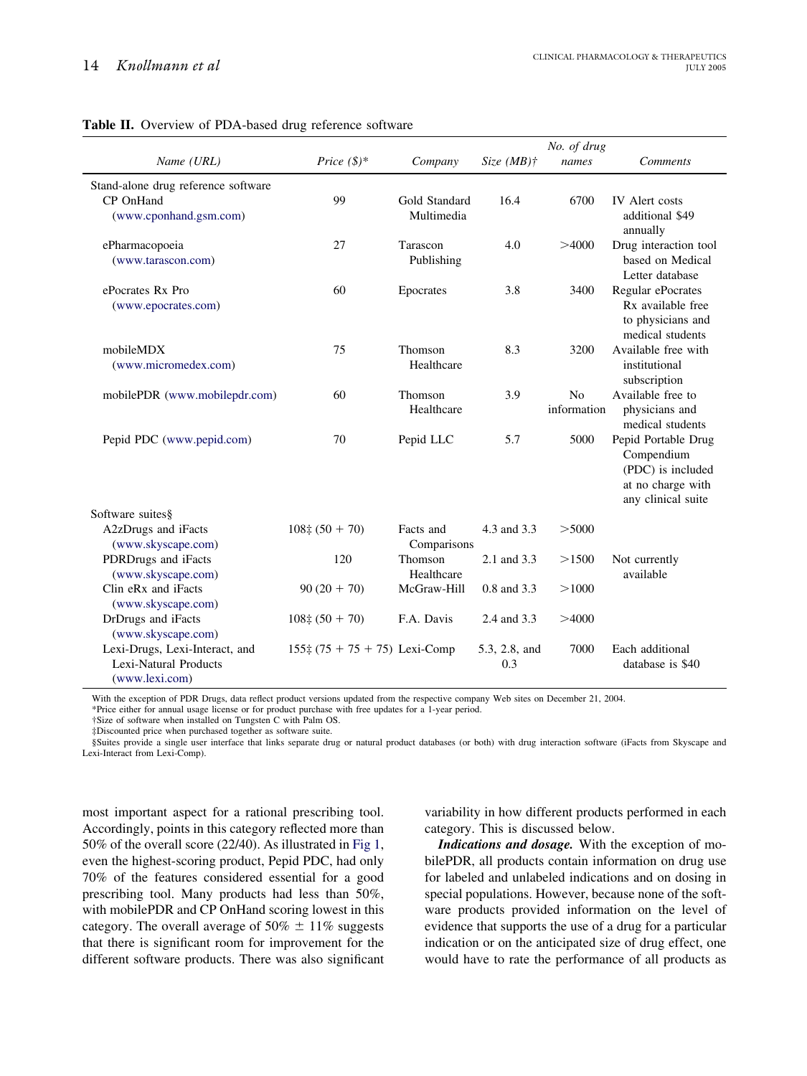|                                          | No. of drug                       |               |               |                |                                        |
|------------------------------------------|-----------------------------------|---------------|---------------|----------------|----------------------------------------|
| Name (URL)                               | Price $(\text{\$})^*$             | Company       | $Size(MB)$ †  | names          | <b>Comments</b>                        |
| Stand-alone drug reference software      |                                   |               |               |                |                                        |
| CP OnHand                                | 99                                | Gold Standard | 16.4          | 6700           | IV Alert costs                         |
| (www.cponhand.gsm.com)                   |                                   | Multimedia    |               |                | additional \$49                        |
|                                          |                                   |               |               |                | annually                               |
| ePharmacopoeia                           | 27                                | Tarascon      | 4.0           | >4000          | Drug interaction tool                  |
| (www.tarascon.com)                       |                                   | Publishing    |               |                | based on Medical                       |
|                                          |                                   |               |               |                | Letter database                        |
| ePocrates Rx Pro                         | 60                                | Epocrates     | 3.8           | 3400           | Regular ePocrates<br>Rx available free |
| (www.epocrates.com)                      |                                   |               |               |                | to physicians and                      |
|                                          |                                   |               |               |                | medical students                       |
| mobileMDX                                | 75                                | Thomson       | 8.3           | 3200           | Available free with                    |
| (www.micromedex.com)                     |                                   | Healthcare    |               |                | institutional                          |
|                                          |                                   |               |               |                | subscription                           |
| mobilePDR (www.mobilepdr.com)            | 60                                | Thomson       | 3.9           | N <sub>o</sub> | Available free to                      |
|                                          |                                   | Healthcare    |               | information    | physicians and                         |
|                                          |                                   |               |               |                | medical students                       |
| Pepid PDC (www.pepid.com)                | 70                                | Pepid LLC     | 5.7           | 5000           | Pepid Portable Drug                    |
|                                          |                                   |               |               |                | Compendium<br>(PDC) is included        |
|                                          |                                   |               |               |                | at no charge with                      |
|                                          |                                   |               |               |                | any clinical suite                     |
| Software suites§                         |                                   |               |               |                |                                        |
| A2zDrugs and iFacts                      | $108 \div (50 + 70)$              | Facts and     | 4.3 and 3.3   | > 5000         |                                        |
| (www.skyscape.com)                       |                                   | Comparisons   |               |                |                                        |
| PDRDrugs and iFacts                      | 120                               | Thomson       | 2.1 and 3.3   | >1500          | Not currently                          |
| (www.skyscape.com)                       |                                   | Healthcare    |               |                | available                              |
| Clin eRx and iFacts                      | $90(20 + 70)$                     | McGraw-Hill   | 0.8 and 3.3   | >1000          |                                        |
| (www.skyscape.com)                       |                                   |               |               |                |                                        |
| DrDrugs and iFacts<br>(www.skyscape.com) | $108 \div (50 + 70)$              | F.A. Davis    | 2.4 and 3.3   | >4000          |                                        |
| Lexi-Drugs, Lexi-Interact, and           | $155\div(75 + 75 + 75)$ Lexi-Comp |               | 5.3, 2.8, and | 7000           | Each additional                        |
| Lexi-Natural Products                    |                                   |               | 0.3           |                | database is \$40                       |
| (www.lexi.com)                           |                                   |               |               |                |                                        |
|                                          |                                   |               |               |                |                                        |

#### <span id="page-7-0"></span>**Table II.** Overview of PDA-based drug reference software

With the exception of PDR Drugs, data reflect product versions updated from the respective company Web sites on December 21, 2004.

\*Price either for annual usage license or for product purchase with free updates for a 1-year period.

†Size of software when installed on Tungsten C with Palm OS.

‡Discounted price when purchased together as software suite.

§Suites provide a single user interface that links separate drug or natural product databases (or both) with drug interaction software (iFacts from Skyscape and Lexi-Interact from Lexi-Comp).

most important aspect for a rational prescribing tool. Accordingly, points in this category reflected more than 50% of the overall score (22/40). As illustrated in [Fig 1,](#page-8-0) even the highest-scoring product, Pepid PDC, had only 70% of the features considered essential for a good prescribing tool. Many products had less than 50%, with mobilePDR and CP OnHand scoring lowest in this category. The overall average of  $50\% \pm 11\%$  suggests that there is significant room for improvement for the different software products. There was also significant variability in how different products performed in each category. This is discussed below.

*Indications and dosage.* With the exception of mobilePDR, all products contain information on drug use for labeled and unlabeled indications and on dosing in special populations. However, because none of the software products provided information on the level of evidence that supports the use of a drug for a particular indication or on the anticipated size of drug effect, one would have to rate the performance of all products as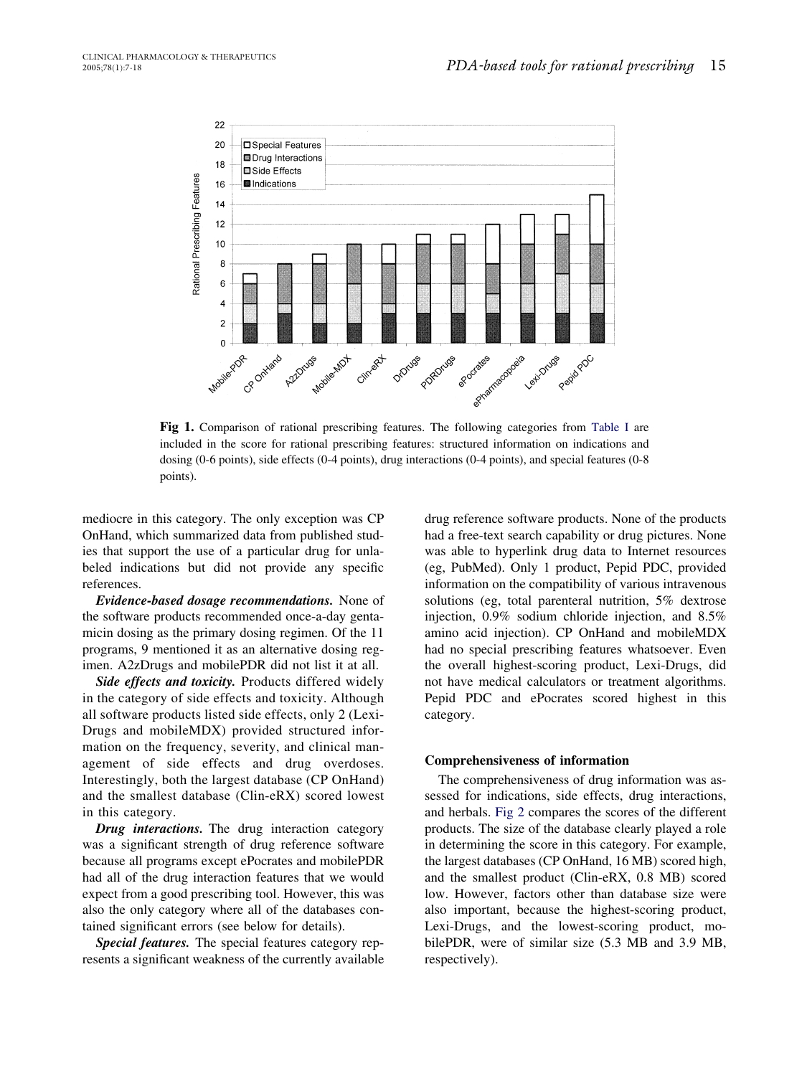<span id="page-8-0"></span>

**Fig 1.** Comparison of rational prescribing features. The following categories from [Table I](#page-3-0) are included in the score for rational prescribing features: structured information on indications and dosing (0-6 points), side effects (0-4 points), drug interactions (0-4 points), and special features (0-8 points).

mediocre in this category. The only exception was CP OnHand, which summarized data from published studies that support the use of a particular drug for unlabeled indications but did not provide any specific references.

*Evidence-based dosage recommendations.* None of the software products recommended once-a-day gentamicin dosing as the primary dosing regimen. Of the 11 programs, 9 mentioned it as an alternative dosing regimen. A2zDrugs and mobilePDR did not list it at all.

*Side effects and toxicity.* Products differed widely in the category of side effects and toxicity. Although all software products listed side effects, only 2 (Lexi-Drugs and mobileMDX) provided structured information on the frequency, severity, and clinical management of side effects and drug overdoses. Interestingly, both the largest database (CP OnHand) and the smallest database (Clin-eRX) scored lowest in this category.

*Drug interactions.* The drug interaction category was a significant strength of drug reference software because all programs except ePocrates and mobilePDR had all of the drug interaction features that we would expect from a good prescribing tool. However, this was also the only category where all of the databases contained significant errors (see below for details).

*Special features.* The special features category represents a significant weakness of the currently available drug reference software products. None of the products had a free-text search capability or drug pictures. None was able to hyperlink drug data to Internet resources (eg, PubMed). Only 1 product, Pepid PDC, provided information on the compatibility of various intravenous solutions (eg, total parenteral nutrition, 5% dextrose injection, 0.9% sodium chloride injection, and 8.5% amino acid injection). CP OnHand and mobileMDX had no special prescribing features whatsoever. Even the overall highest-scoring product, Lexi-Drugs, did not have medical calculators or treatment algorithms. Pepid PDC and ePocrates scored highest in this category.

#### **Comprehensiveness of information**

The comprehensiveness of drug information was assessed for indications, side effects, drug interactions, and herbals. [Fig 2](#page-9-0) compares the scores of the different products. The size of the database clearly played a role in determining the score in this category. For example, the largest databases (CP OnHand, 16 MB) scored high, and the smallest product (Clin-eRX, 0.8 MB) scored low. However, factors other than database size were also important, because the highest-scoring product, Lexi-Drugs, and the lowest-scoring product, mobilePDR, were of similar size (5.3 MB and 3.9 MB, respectively).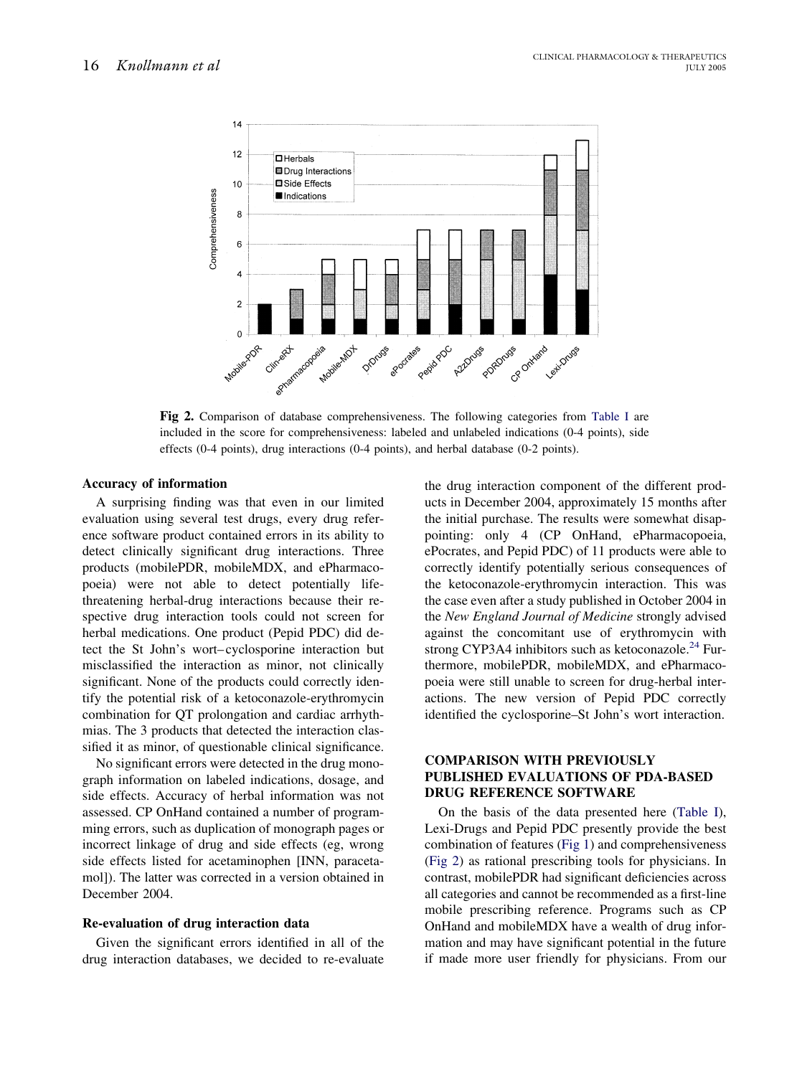<span id="page-9-0"></span>

**Fig 2.** Comparison of database comprehensiveness. The following categories from [Table I](#page-3-0) are included in the score for comprehensiveness: labeled and unlabeled indications (0-4 points), side effects (0-4 points), drug interactions (0-4 points), and herbal database (0-2 points).

#### **Accuracy of information**

A surprising finding was that even in our limited evaluation using several test drugs, every drug reference software product contained errors in its ability to detect clinically significant drug interactions. Three products (mobilePDR, mobileMDX, and ePharmacopoeia) were not able to detect potentially lifethreatening herbal-drug interactions because their respective drug interaction tools could not screen for herbal medications. One product (Pepid PDC) did detect the St John's wort– cyclosporine interaction but misclassified the interaction as minor, not clinically significant. None of the products could correctly identify the potential risk of a ketoconazole-erythromycin combination for QT prolongation and cardiac arrhythmias. The 3 products that detected the interaction classified it as minor, of questionable clinical significance.

No significant errors were detected in the drug monograph information on labeled indications, dosage, and side effects. Accuracy of herbal information was not assessed. CP OnHand contained a number of programming errors, such as duplication of monograph pages or incorrect linkage of drug and side effects (eg, wrong side effects listed for acetaminophen [INN, paracetamol]). The latter was corrected in a version obtained in December 2004.

#### **Re-evaluation of drug interaction data**

Given the significant errors identified in all of the drug interaction databases, we decided to re-evaluate the drug interaction component of the different products in December 2004, approximately 15 months after the initial purchase. The results were somewhat disappointing: only 4 (CP OnHand, ePharmacopoeia, ePocrates, and Pepid PDC) of 11 products were able to correctly identify potentially serious consequences of the ketoconazole-erythromycin interaction. This was the case even after a study published in October 2004 in the *New England Journal of Medicine* strongly advised against the concomitant use of erythromycin with strong CYP3A4 inhibitors such as ketoconazole.<sup>24</sup> Furthermore, mobilePDR, mobileMDX, and ePharmacopoeia were still unable to screen for drug-herbal interactions. The new version of Pepid PDC correctly identified the cyclosporine–St John's wort interaction.

# **COMPARISON WITH PREVIOUSLY PUBLISHED EVALUATIONS OF PDA-BASED DRUG REFERENCE SOFTWARE**

On the basis of the data presented here [\(Table I\)](#page-3-0), Lexi-Drugs and Pepid PDC presently provide the best combination of features [\(Fig 1\)](#page-8-0) and comprehensiveness (Fig 2) as rational prescribing tools for physicians. In contrast, mobilePDR had significant deficiencies across all categories and cannot be recommended as a first-line mobile prescribing reference. Programs such as CP OnHand and mobileMDX have a wealth of drug information and may have significant potential in the future if made more user friendly for physicians. From our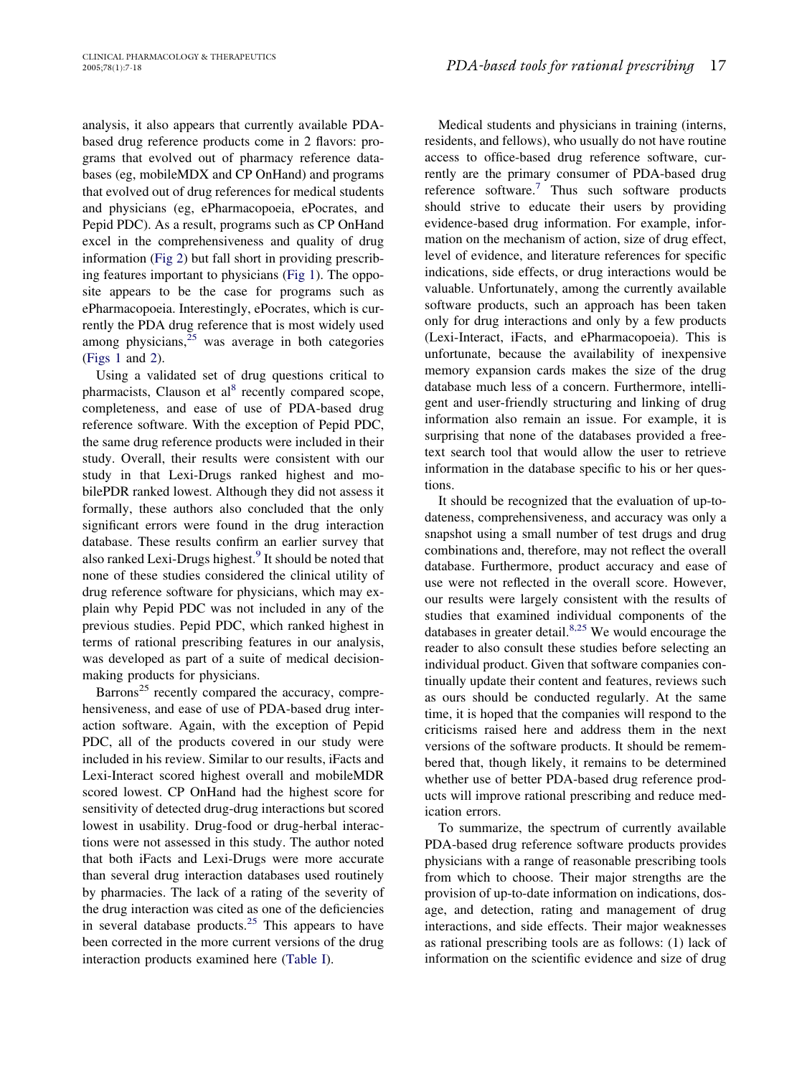analysis, it also appears that currently available PDAbased drug reference products come in 2 flavors: programs that evolved out of pharmacy reference databases (eg, mobileMDX and CP OnHand) and programs that evolved out of drug references for medical students and physicians (eg, ePharmacopoeia, ePocrates, and Pepid PDC). As a result, programs such as CP OnHand excel in the comprehensiveness and quality of drug information [\(Fig 2\)](#page-9-0) but fall short in providing prescribing features important to physicians [\(Fig 1\)](#page-8-0). The opposite appears to be the case for programs such as ePharmacopoeia. Interestingly, ePocrates, which is currently the PDA drug reference that is most widely used among physicians, $25$  was average in both categories [\(Figs 1](#page-8-0) and [2\)](#page-9-0).

Using a validated set of drug questions critical to pharmacists, Clauson et  $al<sup>8</sup>$  recently compared scope, completeness, and ease of use of PDA-based drug reference software. With the exception of Pepid PDC, the same drug reference products were included in their study. Overall, their results were consistent with our study in that Lexi-Drugs ranked highest and mobilePDR ranked lowest. Although they did not assess it formally, these authors also concluded that the only significant errors were found in the drug interaction database. These results confirm an earlier survey that also ranked Lexi-Drugs highest.<sup>9</sup> It should be noted that none of these studies considered the clinical utility of drug reference software for physicians, which may explain why Pepid PDC was not included in any of the previous studies. Pepid PDC, which ranked highest in terms of rational prescribing features in our analysis, was developed as part of a suite of medical decisionmaking products for physicians.

Barrons<sup>25</sup> recently compared the accuracy, comprehensiveness, and ease of use of PDA-based drug interaction software. Again, with the exception of Pepid PDC, all of the products covered in our study were included in his review. Similar to our results, iFacts and Lexi-Interact scored highest overall and mobileMDR scored lowest. CP OnHand had the highest score for sensitivity of detected drug-drug interactions but scored lowest in usability. Drug-food or drug-herbal interactions were not assessed in this study. The author noted that both iFacts and Lexi-Drugs were more accurate than several drug interaction databases used routinely by pharmacies. The lack of a rating of the severity of the drug interaction was cited as one of the deficiencies in several database products.<sup>25</sup> This appears to have been corrected in the more current versions of the drug interaction products examined here [\(Table I\)](#page-3-0).

Medical students and physicians in training (interns, residents, and fellows), who usually do not have routine access to office-based drug reference software, currently are the primary consumer of PDA-based drug reference software.<sup>7</sup> Thus such software products should strive to educate their users by providing evidence-based drug information. For example, information on the mechanism of action, size of drug effect, level of evidence, and literature references for specific indications, side effects, or drug interactions would be valuable. Unfortunately, among the currently available software products, such an approach has been taken only for drug interactions and only by a few products (Lexi-Interact, iFacts, and ePharmacopoeia). This is unfortunate, because the availability of inexpensive memory expansion cards makes the size of the drug database much less of a concern. Furthermore, intelligent and user-friendly structuring and linking of drug information also remain an issue. For example, it is surprising that none of the databases provided a freetext search tool that would allow the user to retrieve information in the database specific to his or her questions.

It should be recognized that the evaluation of up-todateness, comprehensiveness, and accuracy was only a snapshot using a small number of test drugs and drug combinations and, therefore, may not reflect the overall database. Furthermore, product accuracy and ease of use were not reflected in the overall score. However, our results were largely consistent with the results of studies that examined individual components of the databases in greater detail. $8,25$  We would encourage the reader to also consult these studies before selecting an individual product. Given that software companies continually update their content and features, reviews such as ours should be conducted regularly. At the same time, it is hoped that the companies will respond to the criticisms raised here and address them in the next versions of the software products. It should be remembered that, though likely, it remains to be determined whether use of better PDA-based drug reference products will improve rational prescribing and reduce medication errors.

To summarize, the spectrum of currently available PDA-based drug reference software products provides physicians with a range of reasonable prescribing tools from which to choose. Their major strengths are the provision of up-to-date information on indications, dosage, and detection, rating and management of drug interactions, and side effects. Their major weaknesses as rational prescribing tools are as follows: (1) lack of information on the scientific evidence and size of drug